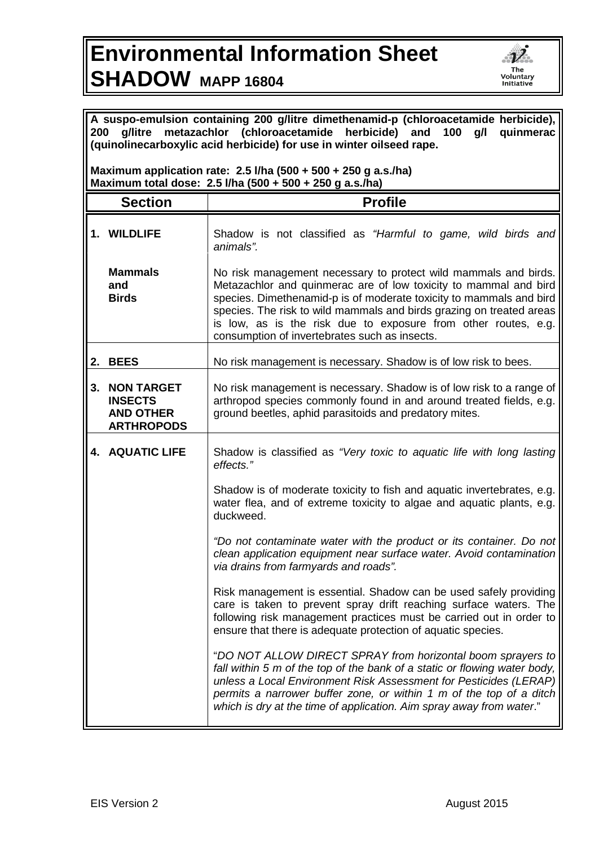## **Environmental Information Sheet SHADOW MAPP 16804**



| A suspo-emulsion containing 200 g/litre dimethenamid-p (chloroacetamide herbicide),<br>g/litre metazachlor (chloroacetamide herbicide) and<br>200<br>100<br>g/l<br>quinmerac<br>(quinolinecarboxylic acid herbicide) for use in winter oilseed rape. |                                                                              |                                                                                                                                                                                                                                                                                                                                                                                                       |  |
|------------------------------------------------------------------------------------------------------------------------------------------------------------------------------------------------------------------------------------------------------|------------------------------------------------------------------------------|-------------------------------------------------------------------------------------------------------------------------------------------------------------------------------------------------------------------------------------------------------------------------------------------------------------------------------------------------------------------------------------------------------|--|
| Maximum application rate: $2.5$ I/ha (500 + 500 + 250 g a.s./ha)<br>Maximum total dose: 2.5 I/ha (500 + 500 + 250 g a.s./ha)                                                                                                                         |                                                                              |                                                                                                                                                                                                                                                                                                                                                                                                       |  |
|                                                                                                                                                                                                                                                      | <b>Section</b>                                                               | <b>Profile</b>                                                                                                                                                                                                                                                                                                                                                                                        |  |
|                                                                                                                                                                                                                                                      | 1. WILDLIFE                                                                  | Shadow is not classified as "Harmful to game, wild birds and<br>animals".                                                                                                                                                                                                                                                                                                                             |  |
|                                                                                                                                                                                                                                                      | <b>Mammals</b><br>and<br><b>Birds</b>                                        | No risk management necessary to protect wild mammals and birds.<br>Metazachlor and quinmerac are of low toxicity to mammal and bird<br>species. Dimethenamid-p is of moderate toxicity to mammals and bird<br>species. The risk to wild mammals and birds grazing on treated areas<br>is low, as is the risk due to exposure from other routes, e.g.<br>consumption of invertebrates such as insects. |  |
| 2.                                                                                                                                                                                                                                                   | <b>BEES</b>                                                                  | No risk management is necessary. Shadow is of low risk to bees.                                                                                                                                                                                                                                                                                                                                       |  |
| 3.                                                                                                                                                                                                                                                   | <b>NON TARGET</b><br><b>INSECTS</b><br><b>AND OTHER</b><br><b>ARTHROPODS</b> | No risk management is necessary. Shadow is of low risk to a range of<br>arthropod species commonly found in and around treated fields, e.g.<br>ground beetles, aphid parasitoids and predatory mites.                                                                                                                                                                                                 |  |
|                                                                                                                                                                                                                                                      | <b>4. AQUATIC LIFE</b>                                                       | Shadow is classified as "Very toxic to aquatic life with long lasting<br>effects."                                                                                                                                                                                                                                                                                                                    |  |
|                                                                                                                                                                                                                                                      |                                                                              | Shadow is of moderate toxicity to fish and aquatic invertebrates, e.g.<br>water flea, and of extreme toxicity to algae and aquatic plants, e.g.<br>duckweed.                                                                                                                                                                                                                                          |  |
|                                                                                                                                                                                                                                                      |                                                                              | "Do not contaminate water with the product or its container. Do not<br>clean application equipment near surface water. Avoid contamination<br>via drains from farmyards and roads".                                                                                                                                                                                                                   |  |
|                                                                                                                                                                                                                                                      |                                                                              | Risk management is essential. Shadow can be used safely providing<br>care is taken to prevent spray drift reaching surface waters. The<br>following risk management practices must be carried out in order to<br>ensure that there is adequate protection of aquatic species.                                                                                                                         |  |
|                                                                                                                                                                                                                                                      |                                                                              | "DO NOT ALLOW DIRECT SPRAY from horizontal boom sprayers to<br>fall within 5 m of the top of the bank of a static or flowing water body,<br>unless a Local Environment Risk Assessment for Pesticides (LERAP)<br>permits a narrower buffer zone, or within 1 m of the top of a ditch<br>which is dry at the time of application. Aim spray away from water."                                          |  |